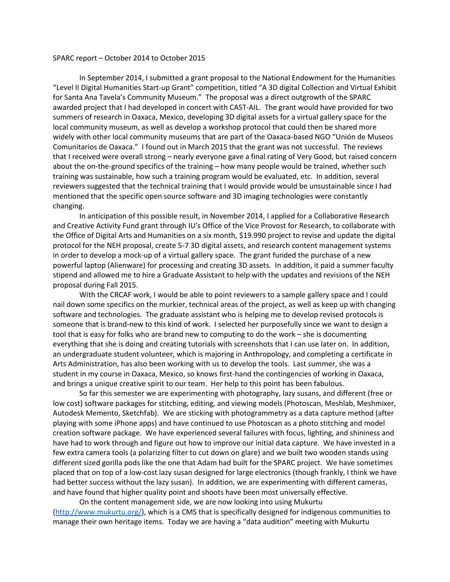## SPARC report – October 2014 to October 2015

In September 2014, I submitted a grant proposal to the National Endowment for the Humanities "Level II Digital Humanities Start-up Grant" competition, titled "A 3D digital Collection and Virtual Exhibit for Santa Ana Tavela's Community Museum." The proposal was a direct outgrowth of the SPARC awarded project that I had developed in concert with CAST-AIL. The grant would have provided for two summers of research in Oaxaca, Mexico, developing 3D digital assets for a virtual gallery space for the local community museum, as well as develop a workshop protocol that could then be shared more widely with other local community museums that are part of the Oaxaca-based NGO "Unión de Museos Comunitarios de Oaxaca." I found out in March 2015 that the grant was not successful. The reviews that I received were overall strong – nearly everyone gave a final rating of Very Good, but raised concern about the on-the-ground specifics of the training – how many people would be trained, whether such training was sustainable, how such a training program would be evaluated, etc. In addition, several reviewers suggested that the technical training that I would provide would be unsustainable since I had mentioned that the specific open source software and 3D imaging technologies were constantly changing.

In anticipation of this possible result, in November 2014, I applied for a Collaborative Research and Creative Activity Fund grant through IU's Office of the Vice Provost for Research, to collaborate with the Office of Digital Arts and Humanities on a six month, \$19.990 project to revise and update the digital protocol for the NEH proposal, create 5-7 3D digital assets, and research content management systems in order to develop a mock-up of a virtual gallery space. The grant funded the purchase of a new powerful laptop (Alienware) for processing and creating 3D assets. In addition, it paid a summer faculty stipend and allowed me to hire a Graduate Assistant to help with the updates and revisions of the NEH proposal during Fall 2015.

With the CRCAF work, I would be able to point reviewers to a sample gallery space and I could nail down some specifics on the murkier, technical areas of the project, as well as keep up with changing software and technologies. The graduate assistant who is helping me to develop revised protocols is someone that is brand-new to this kind of work. I selected her purposefully since we want to design a tool that is easy for folks who are brand new to computing to do the work – she is documenting everything that she is doing and creating tutorials with screenshots that I can use later on. In addition, an undergraduate student volunteer, which is majoring in Anthropology, and completing a certificate in Arts Administration, has also been working with us to develop the tools. Last summer, she was a student in my course in Oaxaca, Mexico, so knows first-hand the contingencies of working in Oaxaca, and brings a unique creative spirit to our team. Her help to this point has been fabulous.

So far this semester we are experimenting with photography, lazy susans, and different (free or low cost) software packages for stitching, editing, and viewing models (Photoscan, Meshlab, Meshmixer, Autodesk Memento, Sketchfab). We are sticking with photogrammetry as a data capture method (after playing with some iPhone apps) and have continued to use Photoscan as a photo stitching and model creation software package. We have experienced several failures with focus, lighting, and shininess and have had to work through and figure out how to improve our initial data capture. We have invested in a few extra camera tools (a polarizing filter to cut down on glare) and we built two wooden stands using different sized gorilla pods like the one that Adam had built for the SPARC project. We have sometimes placed that on top of a low-cost lazy susan designed for large electronics (though frankly, I think we have had better success without the lazy susan). In addition, we are experimenting with different cameras, and have found that higher quality point and shoots have been most universally effective.

On the content management side, we are now looking into using Mukurtu [\(http://www.mukurtu.org/\)](about:blank), which is a CMS that is specifically designed for indigenous communities to manage their own heritage items. Today we are having a "data audition" meeting with Mukurtu